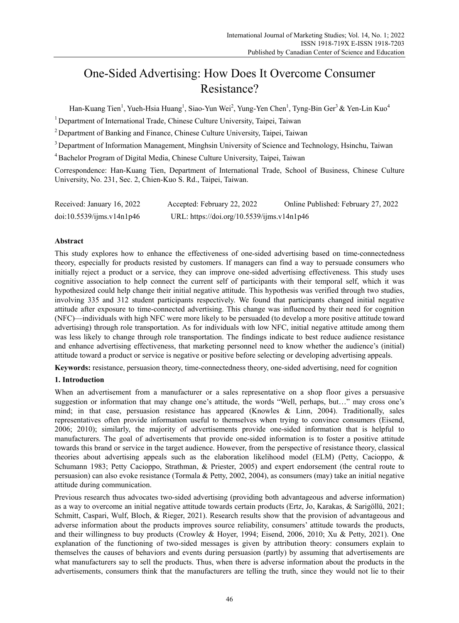# One-Sided Advertising: How Does It Overcome Consumer Resistance?

Han-Kuang Tien<sup>1</sup>, Yueh-Hsia Huang<sup>1</sup>, Siao-Yun Wei<sup>2</sup>, Yung-Yen Chen<sup>1</sup>, Tyng-Bin Ger<sup>3</sup> & Yen-Lin Kuo<sup>4</sup>

<sup>1</sup> Department of International Trade, Chinese Culture University, Taipei, Taiwan

2 Department of Banking and Finance, Chinese Culture University, Taipei, Taiwan

<sup>3</sup> Department of Information Management, Minghsin University of Science and Technology, Hsinchu, Taiwan

4 Bachelor Program of Digital Media, Chinese Culture University, Taipei, Taiwan

Correspondence: Han-Kuang Tien, Department of International Trade, School of Business, Chinese Culture University, No. 231, Sec. 2, Chien-Kuo S. Rd., Taipei, Taiwan.

| Received: January 16, 2022 | Accepted: February 22, 2022                | Online Published: February 27, 2022 |
|----------------------------|--------------------------------------------|-------------------------------------|
| doi:10.5539/ijms.v14n1p46  | URL: https://doi.org/10.5539/ijms.v14n1p46 |                                     |

# **Abstract**

This study explores how to enhance the effectiveness of one-sided advertising based on time-connectedness theory, especially for products resisted by customers. If managers can find a way to persuade consumers who initially reject a product or a service, they can improve one-sided advertising effectiveness. This study uses cognitive association to help connect the current self of participants with their temporal self, which it was hypothesized could help change their initial negative attitude. This hypothesis was verified through two studies, involving 335 and 312 student participants respectively. We found that participants changed initial negative attitude after exposure to time-connected advertising. This change was influenced by their need for cognition (NFC)—individuals with high NFC were more likely to be persuaded (to develop a more positive attitude toward advertising) through role transportation. As for individuals with low NFC, initial negative attitude among them was less likely to change through role transportation. The findings indicate to best reduce audience resistance and enhance advertising effectiveness, that marketing personnel need to know whether the audience's (initial) attitude toward a product or service is negative or positive before selecting or developing advertising appeals.

**Keywords:** resistance, persuasion theory, time-connectedness theory, one-sided advertising, need for cognition

# **1. Introduction**

When an advertisement from a manufacturer or a sales representative on a shop floor gives a persuasive suggestion or information that may change one's attitude, the words "Well, perhaps, but…" may cross one's mind; in that case, persuasion resistance has appeared (Knowles & Linn, 2004). Traditionally, sales representatives often provide information useful to themselves when trying to convince consumers (Eisend, 2006; 2010); similarly, the majority of advertisements provide one-sided information that is helpful to manufacturers. The goal of advertisements that provide one-sided information is to foster a positive attitude towards this brand or service in the target audience. However, from the perspective of resistance theory, classical theories about advertising appeals such as the elaboration likelihood model (ELM) (Petty, Cacioppo, & Schumann 1983; Petty Cacioppo, Strathman, & Priester, 2005) and expert endorsement (the central route to persuasion) can also evoke resistance (Tormala & Petty, 2002, 2004), as consumers (may) take an initial negative attitude during communication.

Previous research thus advocates two-sided advertising (providing both advantageous and adverse information) as a way to overcome an initial negative attitude towards certain products (Ertz, Jo, Karakas, & Sarigöllü, 2021; Schmitt, Caspari, Wulf, Bloch, & Rieger, 2021). Research results show that the provision of advantageous and adverse information about the products improves source reliability, consumers' attitude towards the products, and their willingness to buy products (Crowley & Hoyer, 1994; Eisend, 2006, 2010; Xu & Petty, 2021). One explanation of the functioning of two-sided messages is given by attribution theory: consumers explain to themselves the causes of behaviors and events during persuasion (partly) by assuming that advertisements are what manufacturers say to sell the products. Thus, when there is adverse information about the products in the advertisements, consumers think that the manufacturers are telling the truth, since they would not lie to their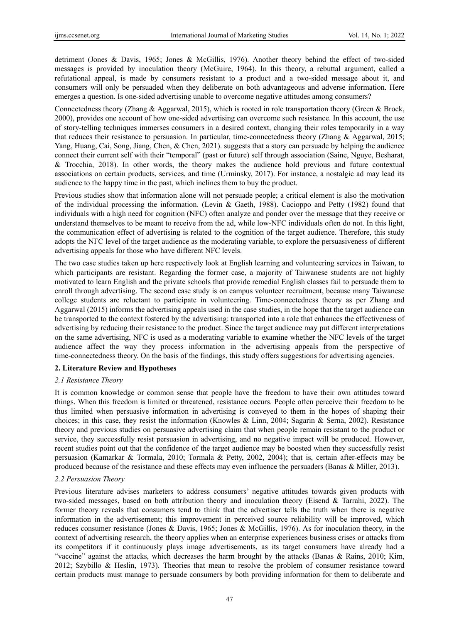detriment (Jones & Davis, 1965; Jones & McGillis, 1976). Another theory behind the effect of two-sided messages is provided by inoculation theory (McGuire, 1964). In this theory, a rebuttal argument, called a refutational appeal, is made by consumers resistant to a product and a two-sided message about it, and consumers will only be persuaded when they deliberate on both advantageous and adverse information. Here emerges a question. Is one-sided advertising unable to overcome negative attitudes among consumers?

Connectedness theory (Zhang & Aggarwal, 2015), which is rooted in role transportation theory (Green & Brock, 2000), provides one account of how one-sided advertising can overcome such resistance. In this account, the use of story-telling techniques immerses consumers in a desired context, changing their roles temporarily in a way that reduces their resistance to persuasion. In particular, time-connectedness theory (Zhang & Aggarwal, 2015; Yang, Huang, Cai, Song, Jiang, Chen, & Chen, 2021). suggests that a story can persuade by helping the audience connect their current self with their "temporal" (past or future) self through association (Saine, Nguye, Besharat, & Trocchia, 2018). In other words, the theory makes the audience hold previous and future contextual associations on certain products, services, and time (Urminsky, 2017). For instance, a nostalgic ad may lead its audience to the happy time in the past, which inclines them to buy the product.

Previous studies show that information alone will not persuade people; a critical element is also the motivation of the individual processing the information. (Levin & Gaeth, 1988). Cacioppo and Petty (1982) found that individuals with a high need for cognition (NFC) often analyze and ponder over the message that they receive or understand themselves to be meant to receive from the ad, while low-NFC individuals often do not. In this light, the communication effect of advertising is related to the cognition of the target audience. Therefore, this study adopts the NFC level of the target audience as the moderating variable, to explore the persuasiveness of different advertising appeals for those who have different NFC levels.

The two case studies taken up here respectively look at English learning and volunteering services in Taiwan, to which participants are resistant. Regarding the former case, a majority of Taiwanese students are not highly motivated to learn English and the private schools that provide remedial English classes fail to persuade them to enroll through advertising. The second case study is on campus volunteer recruitment, because many Taiwanese college students are reluctant to participate in volunteering. Time-connectedness theory as per Zhang and Aggarwal (2015) informs the advertising appeals used in the case studies, in the hope that the target audience can be transported to the context fostered by the advertising: transported into a role that enhances the effectiveness of advertising by reducing their resistance to the product. Since the target audience may put different interpretations on the same advertising, NFC is used as a moderating variable to examine whether the NFC levels of the target audience affect the way they process information in the advertising appeals from the perspective of time-connectedness theory. On the basis of the findings, this study offers suggestions for advertising agencies.

# **2. Literature Review and Hypotheses**

# *2.1 Resistance Theory*

It is common knowledge or common sense that people have the freedom to have their own attitudes toward things. When this freedom is limited or threatened, resistance occurs. People often perceive their freedom to be thus limited when persuasive information in advertising is conveyed to them in the hopes of shaping their choices; in this case, they resist the information (Knowles & Linn, 2004; Sagarin & Serna, 2002). Resistance theory and previous studies on persuasive advertising claim that when people remain resistant to the product or service, they successfully resist persuasion in advertising, and no negative impact will be produced. However, recent studies point out that the confidence of the target audience may be boosted when they successfully resist persuasion (Kamarkar & Tormala, 2010; Tormala & Petty, 2002, 2004); that is, certain after-effects may be produced because of the resistance and these effects may even influence the persuaders (Banas & Miller, 2013).

# *2.2 Persuasion Theory*

Previous literature advises marketers to address consumers' negative attitudes towards given products with two-sided messages, based on both attribution theory and inoculation theory (Eisend & Tarrahi, 2022). The former theory reveals that consumers tend to think that the advertiser tells the truth when there is negative information in the advertisement; this improvement in perceived source reliability will be improved, which reduces consumer resistance (Jones & Davis, 1965; Jones & McGillis, 1976). As for inoculation theory, in the context of advertising research, the theory applies when an enterprise experiences business crises or attacks from its competitors if it continuously plays image advertisements, as its target consumers have already had a "vaccine" against the attacks, which decreases the harm brought by the attacks (Banas & Rains, 2010; Kim, 2012; Szybillo & Heslin, 1973). Theories that mean to resolve the problem of consumer resistance toward certain products must manage to persuade consumers by both providing information for them to deliberate and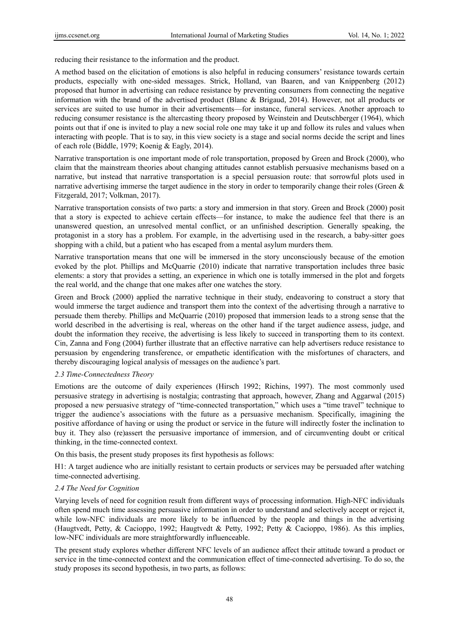reducing their resistance to the information and the product.

A method based on the elicitation of emotions is also helpful in reducing consumers' resistance towards certain products, especially with one-sided messages. Strick, Holland, van Baaren, and van Knippenberg (2012) proposed that humor in advertising can reduce resistance by preventing consumers from connecting the negative information with the brand of the advertised product (Blanc & Brigaud, 2014). However, not all products or services are suited to use humor in their advertisements—for instance, funeral services. Another approach to reducing consumer resistance is the altercasting theory proposed by Weinstein and Deutschberger (1964), which points out that if one is invited to play a new social role one may take it up and follow its rules and values when interacting with people. That is to say, in this view society is a stage and social norms decide the script and lines of each role (Biddle, 1979; Koenig & Eagly, 2014).

Narrative transportation is one important mode of role transportation, proposed by Green and Brock (2000), who claim that the mainstream theories about changing attitudes cannot establish persuasive mechanisms based on a narrative, but instead that narrative transportation is a special persuasion route: that sorrowful plots used in narrative advertising immerse the target audience in the story in order to temporarily change their roles (Green  $\&$ Fitzgerald, 2017; Volkman, 2017).

Narrative transportation consists of two parts: a story and immersion in that story. Green and Brock (2000) posit that a story is expected to achieve certain effects—for instance, to make the audience feel that there is an unanswered question, an unresolved mental conflict, or an unfinished description. Generally speaking, the protagonist in a story has a problem. For example, in the advertising used in the research, a baby-sitter goes shopping with a child, but a patient who has escaped from a mental asylum murders them.

Narrative transportation means that one will be immersed in the story unconsciously because of the emotion evoked by the plot. Phillips and McQuarrie (2010) indicate that narrative transportation includes three basic elements: a story that provides a setting, an experience in which one is totally immersed in the plot and forgets the real world, and the change that one makes after one watches the story.

Green and Brock (2000) applied the narrative technique in their study, endeavoring to construct a story that would immerse the target audience and transport them into the context of the advertising through a narrative to persuade them thereby. Phillips and McQuarrie (2010) proposed that immersion leads to a strong sense that the world described in the advertising is real, whereas on the other hand if the target audience assess, judge, and doubt the information they receive, the advertising is less likely to succeed in transporting them to its context. Cin, Zanna and Fong (2004) further illustrate that an effective narrative can help advertisers reduce resistance to persuasion by engendering transference, or empathetic identification with the misfortunes of characters, and thereby discouraging logical analysis of messages on the audience's part.

# *2.3 Time-Connectedness Theory*

Emotions are the outcome of daily experiences (Hirsch 1992; Richins, 1997). The most commonly used persuasive strategy in advertising is nostalgia; contrasting that approach, however, Zhang and Aggarwal (2015) proposed a new persuasive strategy of "time-connected transportation," which uses a "time travel" technique to trigger the audience's associations with the future as a persuasive mechanism. Specifically, imagining the positive affordance of having or using the product or service in the future will indirectly foster the inclination to buy it. They also (re)assert the persuasive importance of immersion, and of circumventing doubt or critical thinking, in the time-connected context.

On this basis, the present study proposes its first hypothesis as follows:

H1: A target audience who are initially resistant to certain products or services may be persuaded after watching time-connected advertising.

# *2.4 The Need for Cognition*

Varying levels of need for cognition result from different ways of processing information. High-NFC individuals often spend much time assessing persuasive information in order to understand and selectively accept or reject it, while low-NFC individuals are more likely to be influenced by the people and things in the advertising (Haugtvedt, Petty, & Cacioppo, 1992; Haugtvedt & Petty, 1992; Petty & Cacioppo, 1986). As this implies, low-NFC individuals are more straightforwardly influenceable.

The present study explores whether different NFC levels of an audience affect their attitude toward a product or service in the time-connected context and the communication effect of time-connected advertising. To do so, the study proposes its second hypothesis, in two parts, as follows: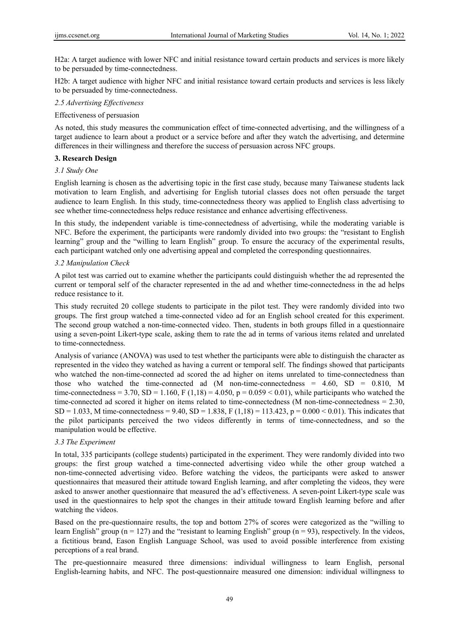H2a: A target audience with lower NFC and initial resistance toward certain products and services is more likely to be persuaded by time-connectedness.

H2b: A target audience with higher NFC and initial resistance toward certain products and services is less likely to be persuaded by time-connectedness.

# *2.5 Advertising Effectiveness*

#### Effectiveness of persuasion

As noted, this study measures the communication effect of time-connected advertising, and the willingness of a target audience to learn about a product or a service before and after they watch the advertising, and determine differences in their willingness and therefore the success of persuasion across NFC groups.

# **3. Research Design**

# *3.1 Study One*

English learning is chosen as the advertising topic in the first case study, because many Taiwanese students lack motivation to learn English, and advertising for English tutorial classes does not often persuade the target audience to learn English. In this study, time-connectedness theory was applied to English class advertising to see whether time-connectedness helps reduce resistance and enhance advertising effectiveness.

In this study, the independent variable is time-connectedness of advertising, while the moderating variable is NFC. Before the experiment, the participants were randomly divided into two groups: the "resistant to English learning" group and the "willing to learn English" group. To ensure the accuracy of the experimental results, each participant watched only one advertising appeal and completed the corresponding questionnaires.

#### *3.2 Manipulation Check*

A pilot test was carried out to examine whether the participants could distinguish whether the ad represented the current or temporal self of the character represented in the ad and whether time-connectedness in the ad helps reduce resistance to it.

This study recruited 20 college students to participate in the pilot test. They were randomly divided into two groups. The first group watched a time-connected video ad for an English school created for this experiment. The second group watched a non-time-connected video. Then, students in both groups filled in a questionnaire using a seven-point Likert-type scale, asking them to rate the ad in terms of various items related and unrelated to time-connectedness.

Analysis of variance (ANOVA) was used to test whether the participants were able to distinguish the character as represented in the video they watched as having a current or temporal self. The findings showed that participants who watched the non-time-connected ad scored the ad higher on items unrelated to time-connectedness than those who watched the time-connected ad (M non-time-connectedness = 4.60, SD = 0.810, M time-connectedness = 3.70, SD = 1.160, F (1,18) = 4.050, p = 0.059 < 0.01), while participants who watched the time-connected ad scored it higher on items related to time-connectedness (M non-time-connectedness = 2.30, SD = 1.033, M time-connectedness = 9.40, SD = 1.838, F (1,18) = 113.423, p = 0.000 < 0.01). This indicates that the pilot participants perceived the two videos differently in terms of time-connectedness, and so the manipulation would be effective.

#### *3.3 The Experiment*

In total, 335 participants (college students) participated in the experiment. They were randomly divided into two groups: the first group watched a time-connected advertising video while the other group watched a non-time-connected advertising video. Before watching the videos, the participants were asked to answer questionnaires that measured their attitude toward English learning, and after completing the videos, they were asked to answer another questionnaire that measured the ad's effectiveness. A seven-point Likert-type scale was used in the questionnaires to help spot the changes in their attitude toward English learning before and after watching the videos.

Based on the pre-questionnaire results, the top and bottom 27% of scores were categorized as the "willing to learn English" group ( $n = 127$ ) and the "resistant to learning English" group ( $n = 93$ ), respectively. In the videos, a fictitious brand, Eason English Language School, was used to avoid possible interference from existing perceptions of a real brand.

The pre-questionnaire measured three dimensions: individual willingness to learn English, personal English-learning habits, and NFC. The post-questionnaire measured one dimension: individual willingness to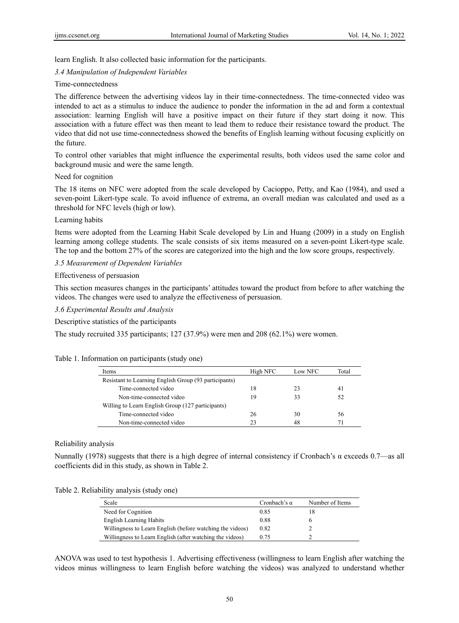learn English. It also collected basic information for the participants.

#### *3.4 Manipulation of Independent Variables*

#### Time-connectedness

The difference between the advertising videos lay in their time-connectedness. The time-connected video was intended to act as a stimulus to induce the audience to ponder the information in the ad and form a contextual association: learning English will have a positive impact on their future if they start doing it now. This association with a future effect was then meant to lead them to reduce their resistance toward the product. The video that did not use time-connectedness showed the benefits of English learning without focusing explicitly on the future.

To control other variables that might influence the experimental results, both videos used the same color and background music and were the same length.

#### Need for cognition

The 18 items on NFC were adopted from the scale developed by Cacioppo, Petty, and Kao (1984), and used a seven-point Likert-type scale. To avoid influence of extrema, an overall median was calculated and used as a threshold for NFC levels (high or low).

#### Learning habits

Items were adopted from the Learning Habit Scale developed by Lin and Huang (2009) in a study on English learning among college students. The scale consists of six items measured on a seven-point Likert-type scale. The top and the bottom 27% of the scores are categorized into the high and the low score groups, respectively.

#### *3.5 Measurement of Dependent Variables*

#### Effectiveness of persuasion

This section measures changes in the participants' attitudes toward the product from before to after watching the videos. The changes were used to analyze the effectiveness of persuasion.

*3.6 Experimental Results and Analysis* 

Descriptive statistics of the participants

The study recruited 335 participants; 127 (37.9%) were men and 208 (62.1%) were women.

#### Table 1. Information on participants (study one)

| Items                                                 | High NFC | Low NFC | Total |
|-------------------------------------------------------|----------|---------|-------|
| Resistant to Learning English Group (93 participants) |          |         |       |
| Time-connected video                                  | 18       | 23      | 41    |
| Non-time-connected video                              | 19       | 33      | 52    |
| Willing to Learn English Group (127 participants)     |          |         |       |
| Time-connected video                                  | 26       | 30      | 56    |
| Non-time-connected video                              | つろ       | 48      |       |

## Reliability analysis

Nunnally (1978) suggests that there is a high degree of internal consistency if Cronbach's α exceeds 0.7—as all coefficients did in this study, as shown in Table 2.

| Table 2. Reliability analysis (study one) |  |  |  |
|-------------------------------------------|--|--|--|
|-------------------------------------------|--|--|--|

| Scale                                                     | Cronbach's $\alpha$ | Number of Items |
|-----------------------------------------------------------|---------------------|-----------------|
| Need for Cognition                                        | 0.85                |                 |
| English Learning Habits                                   | 0.88                |                 |
| Willingness to Learn English (before watching the videos) | 0.82                |                 |
| Willingness to Learn English (after watching the videos)  | 0.75                |                 |

ANOVA was used to test hypothesis 1. Advertising effectiveness (willingness to learn English after watching the videos minus willingness to learn English before watching the videos) was analyzed to understand whether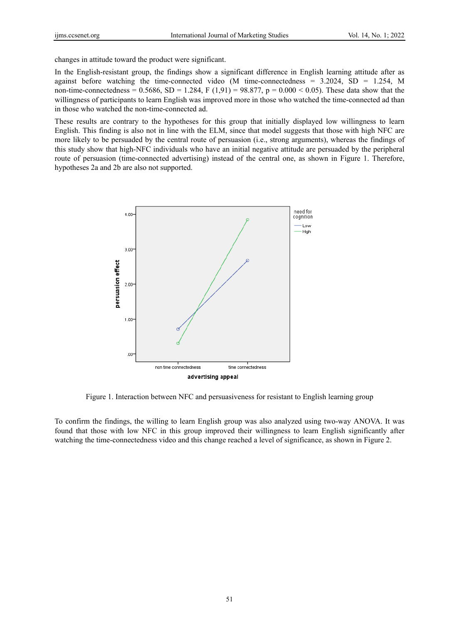changes in attitude toward the product were significant.

In the English-resistant group, the findings show a significant difference in English learning attitude after as against before watching the time-connected video (M time-connectedness =  $3.2024$ , SD = 1.254, M non-time-connectedness =  $0.5686$ , SD = 1.284, F (1,91) = 98.877, p =  $0.000 < 0.05$ ). These data show that the willingness of participants to learn English was improved more in those who watched the time-connected ad than in those who watched the non-time-connected ad.

These results are contrary to the hypotheses for this group that initially displayed low willingness to learn English. This finding is also not in line with the ELM, since that model suggests that those with high NFC are more likely to be persuaded by the central route of persuasion (i.e., strong arguments), whereas the findings of this study show that high-NFC individuals who have an initial negative attitude are persuaded by the peripheral route of persuasion (time-connected advertising) instead of the central one, as shown in Figure 1. Therefore, hypotheses 2a and 2b are also not supported.



Figure 1. Interaction between NFC and persuasiveness for resistant to English learning group

To confirm the findings, the willing to learn English group was also analyzed using two-way ANOVA. It was found that those with low NFC in this group improved their willingness to learn English significantly after watching the time-connectedness video and this change reached a level of significance, as shown in Figure 2.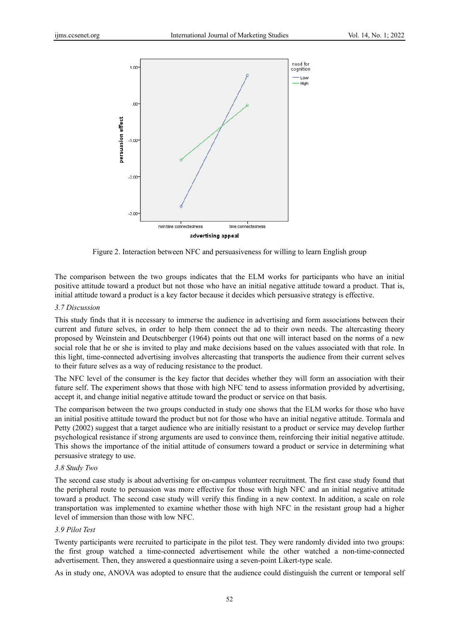

Figure 2. Interaction between NFC and persuasiveness for willing to learn English group

The comparison between the two groups indicates that the ELM works for participants who have an initial positive attitude toward a product but not those who have an initial negative attitude toward a product. That is, initial attitude toward a product is a key factor because it decides which persuasive strategy is effective.

#### *3.7 Discussion*

This study finds that it is necessary to immerse the audience in advertising and form associations between their current and future selves, in order to help them connect the ad to their own needs. The altercasting theory proposed by Weinstein and Deutschberger (1964) points out that one will interact based on the norms of a new social role that he or she is invited to play and make decisions based on the values associated with that role. In this light, time-connected advertising involves altercasting that transports the audience from their current selves to their future selves as a way of reducing resistance to the product.

The NFC level of the consumer is the key factor that decides whether they will form an association with their future self. The experiment shows that those with high NFC tend to assess information provided by advertising, accept it, and change initial negative attitude toward the product or service on that basis.

The comparison between the two groups conducted in study one shows that the ELM works for those who have an initial positive attitude toward the product but not for those who have an initial negative attitude. Tormala and Petty (2002) suggest that a target audience who are initially resistant to a product or service may develop further psychological resistance if strong arguments are used to convince them, reinforcing their initial negative attitude. This shows the importance of the initial attitude of consumers toward a product or service in determining what persuasive strategy to use.

#### *3.8 Study Two*

The second case study is about advertising for on-campus volunteer recruitment. The first case study found that the peripheral route to persuasion was more effective for those with high NFC and an initial negative attitude toward a product. The second case study will verify this finding in a new context. In addition, a scale on role transportation was implemented to examine whether those with high NFC in the resistant group had a higher level of immersion than those with low NFC.

# *3.9 Pilot Test*

Twenty participants were recruited to participate in the pilot test. They were randomly divided into two groups: the first group watched a time-connected advertisement while the other watched a non-time-connected advertisement. Then, they answered a questionnaire using a seven-point Likert-type scale.

As in study one, ANOVA was adopted to ensure that the audience could distinguish the current or temporal self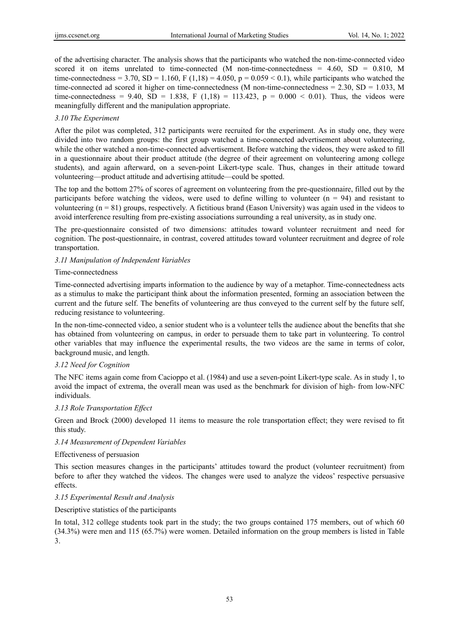of the advertising character. The analysis shows that the participants who watched the non-time-connected video scored it on items unrelated to time-connected (M non-time-connectedness =  $4.60$ , SD =  $0.810$ , M time-connectedness = 3.70, SD = 1.160, F (1,18) = 4.050, p = 0.059 < 0.1), while participants who watched the time-connected ad scored it higher on time-connectedness (M non-time-connectedness = 2.30, SD = 1.033, M time-connectedness = 9.40, SD = 1.838, F (1,18) = 113.423, p = 0.000 < 0.01). Thus, the videos were meaningfully different and the manipulation appropriate.

# *3.10 The Experiment*

After the pilot was completed, 312 participants were recruited for the experiment. As in study one, they were divided into two random groups: the first group watched a time-connected advertisement about volunteering, while the other watched a non-time-connected advertisement. Before watching the videos, they were asked to fill in a questionnaire about their product attitude (the degree of their agreement on volunteering among college students), and again afterward, on a seven-point Likert-type scale. Thus, changes in their attitude toward volunteering—product attitude and advertising attitude—could be spotted.

The top and the bottom 27% of scores of agreement on volunteering from the pre-questionnaire, filled out by the participants before watching the videos, were used to define willing to volunteer  $(n = 94)$  and resistant to volunteering  $(n = 81)$  groups, respectively. A fictitious brand (Eason University) was again used in the videos to avoid interference resulting from pre-existing associations surrounding a real university, as in study one.

The pre-questionnaire consisted of two dimensions: attitudes toward volunteer recruitment and need for cognition. The post-questionnaire, in contrast, covered attitudes toward volunteer recruitment and degree of role transportation.

# *3.11 Manipulation of Independent Variables*

# Time-connectedness

Time-connected advertising imparts information to the audience by way of a metaphor. Time-connectedness acts as a stimulus to make the participant think about the information presented, forming an association between the current and the future self. The benefits of volunteering are thus conveyed to the current self by the future self, reducing resistance to volunteering.

In the non-time-connected video, a senior student who is a volunteer tells the audience about the benefits that she has obtained from volunteering on campus, in order to persuade them to take part in volunteering. To control other variables that may influence the experimental results, the two videos are the same in terms of color, background music, and length.

# *3.12 Need for Cognition*

The NFC items again come from Cacioppo et al. (1984) and use a seven-point Likert-type scale. As in study 1, to avoid the impact of extrema, the overall mean was used as the benchmark for division of high- from low-NFC individuals.

# *3.13 Role Transportation Effect*

Green and Brock (2000) developed 11 items to measure the role transportation effect; they were revised to fit this study.

# *3.14 Measurement of Dependent Variables*

# Effectiveness of persuasion

This section measures changes in the participants' attitudes toward the product (volunteer recruitment) from before to after they watched the videos. The changes were used to analyze the videos' respective persuasive effects.

# *3.15 Experimental Result and Analysis*

# Descriptive statistics of the participants

In total, 312 college students took part in the study; the two groups contained 175 members, out of which 60 (34.3%) were men and 115 (65.7%) were women. Detailed information on the group members is listed in Table 3.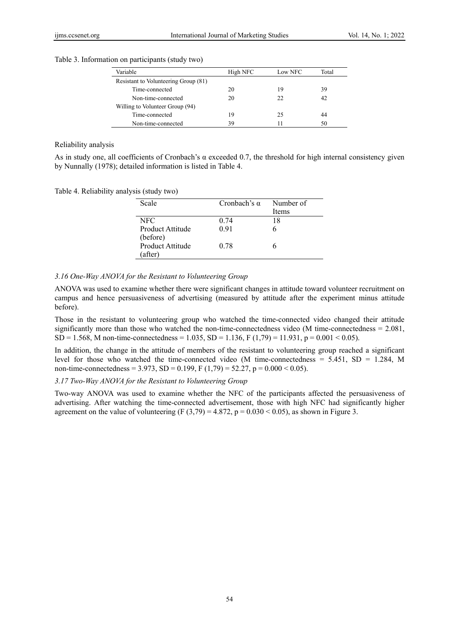| Table 3. Information on participants (study two) |  |  |  |
|--------------------------------------------------|--|--|--|
|                                                  |  |  |  |

| Variable                             | High NFC | Low NFC | Total |
|--------------------------------------|----------|---------|-------|
| Resistant to Volunteering Group (81) |          |         |       |
| Time-connected                       | 20       | 19      | 39    |
| Non-time-connected                   | 20       | 22      | 42    |
| Willing to Volunteer Group (94)      |          |         |       |
| Time-connected                       | 19       | 25      | 44    |
| Non-time-connected                   | 39       |         | 50    |

Reliability analysis

As in study one, all coefficients of Cronbach's α exceeded 0.7, the threshold for high internal consistency given by Nunnally (1978); detailed information is listed in Table 4.

Table 4. Reliability analysis (study two)

| Scale                                  | Cronbach's $\alpha$ | Number of<br><b>Items</b> |
|----------------------------------------|---------------------|---------------------------|
| NFC.<br>Product Attitude               | 0.74<br>0.91        | 18                        |
| (before)<br>Product Attitude<br>after) | 0.78                |                           |

#### *3.16 One-Way ANOVA for the Resistant to Volunteering Group*

ANOVA was used to examine whether there were significant changes in attitude toward volunteer recruitment on campus and hence persuasiveness of advertising (measured by attitude after the experiment minus attitude before).

Those in the resistant to volunteering group who watched the time-connected video changed their attitude significantly more than those who watched the non-time-connectedness video (M time-connectedness = 2.081,  $SD = 1.568$ , M non-time-connectedness = 1.035,  $SD = 1.136$ , F (1,79) = 11.931, p = 0.001 < 0.05).

In addition, the change in the attitude of members of the resistant to volunteering group reached a significant level for those who watched the time-connected video (M time-connectedness  $= 5.451$ , SD  $= 1.284$ , M non-time-connectedness = 3.973, SD = 0.199, F (1,79) = 52.27, p = 0.000 < 0.05).

## *3.17 Two-Way ANOVA for the Resistant to Volunteering Group*

Two-way ANOVA was used to examine whether the NFC of the participants affected the persuasiveness of advertising. After watching the time-connected advertisement, those with high NFC had significantly higher agreement on the value of volunteering (F  $(3,79) = 4.872$ , p = 0.030 < 0.05), as shown in Figure 3.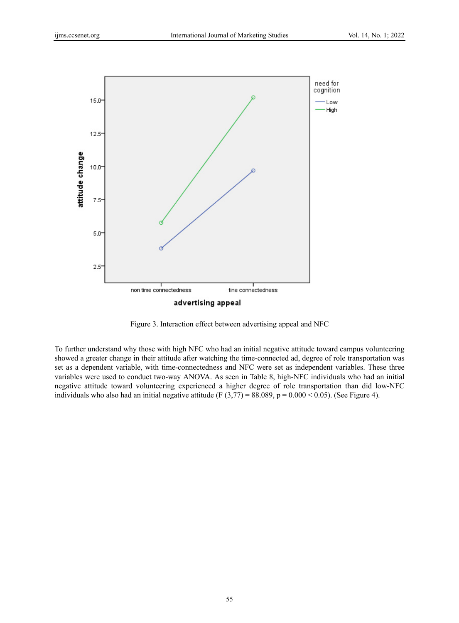

Figure 3. Interaction effect between advertising appeal and NFC

To further understand why those with high NFC who had an initial negative attitude toward campus volunteering showed a greater change in their attitude after watching the time-connected ad, degree of role transportation was set as a dependent variable, with time-connectedness and NFC were set as independent variables. These three variables were used to conduct two-way ANOVA. As seen in Table 8, high-NFC individuals who had an initial negative attitude toward volunteering experienced a higher degree of role transportation than did low-NFC individuals who also had an initial negative attitude (F  $(3,77) = 88.089$ , p = 0.000 < 0.05). (See Figure 4).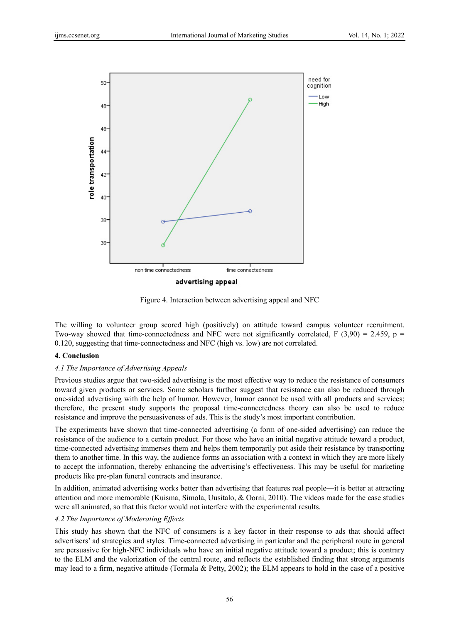

Figure 4. Interaction between advertising appeal and NFC

The willing to volunteer group scored high (positively) on attitude toward campus volunteer recruitment. Two-way showed that time-connectedness and NFC were not significantly correlated, F (3,90) = 2.459, p = 0.120, suggesting that time-connectedness and NFC (high vs. low) are not correlated.

# **4. Conclusion**

# *4.1 The Importance of Advertising Appeals*

Previous studies argue that two-sided advertising is the most effective way to reduce the resistance of consumers toward given products or services. Some scholars further suggest that resistance can also be reduced through one-sided advertising with the help of humor. However, humor cannot be used with all products and services; therefore, the present study supports the proposal time-connectedness theory can also be used to reduce resistance and improve the persuasiveness of ads. This is the study's most important contribution.

The experiments have shown that time-connected advertising (a form of one-sided advertising) can reduce the resistance of the audience to a certain product. For those who have an initial negative attitude toward a product, time-connected advertising immerses them and helps them temporarily put aside their resistance by transporting them to another time. In this way, the audience forms an association with a context in which they are more likely to accept the information, thereby enhancing the advertising's effectiveness. This may be useful for marketing products like pre-plan funeral contracts and insurance.

In addition, animated advertising works better than advertising that features real people—it is better at attracting attention and more memorable (Kuisma, Simola, Uusitalo, & Oorni, 2010). The videos made for the case studies were all animated, so that this factor would not interfere with the experimental results.

# *4.2 The Importance of Moderating Effects*

This study has shown that the NFC of consumers is a key factor in their response to ads that should affect advertisers' ad strategies and styles. Time-connected advertising in particular and the peripheral route in general are persuasive for high-NFC individuals who have an initial negative attitude toward a product; this is contrary to the ELM and the valorization of the central route, and reflects the established finding that strong arguments may lead to a firm, negative attitude (Tormala & Petty, 2002); the ELM appears to hold in the case of a positive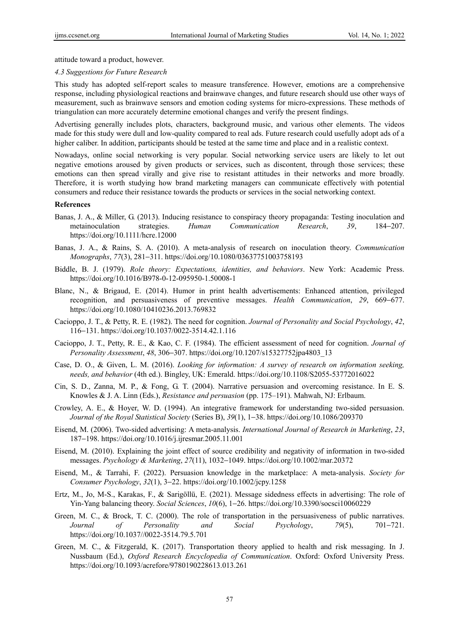attitude toward a product, however.

#### *4.3 Suggestions for Future Research*

This study has adopted self-report scales to measure transference. However, emotions are a comprehensive response, including physiological reactions and brainwave changes, and future research should use other ways of measurement, such as brainwave sensors and emotion coding systems for micro-expressions. These methods of triangulation can more accurately determine emotional changes and verify the present findings.

Advertising generally includes plots, characters, background music, and various other elements. The videos made for this study were dull and low-quality compared to real ads. Future research could usefully adopt ads of a higher caliber. In addition, participants should be tested at the same time and place and in a realistic context.

Nowadays, online social networking is very popular. Social networking service users are likely to let out negative emotions aroused by given products or services, such as discontent, through those services; these emotions can then spread virally and give rise to resistant attitudes in their networks and more broadly. Therefore, it is worth studying how brand marketing managers can communicate effectively with potential consumers and reduce their resistance towards the products or services in the social networking context.

#### **References**

- Banas, J. A., & Miller, G. (2013). Inducing resistance to conspiracy theory propaganda: Testing inoculation and metainoculation strategies. *Human Communication Research*, *39*, 184−207. https://doi.org/10.1111/hcre.12000
- Banas, J. A., & Rains, S. A. (2010). A meta-analysis of research on inoculation theory. *Communication Monographs*, *77*(3), 281−311. https://doi.org/10.1080/03637751003758193
- Biddle, B. J. (1979). *Role theory: Expectations, identities, and behaviors*. New York: Academic Press. https://doi.org/10.1016/B978-0-12-095950-1.50008-1
- Blanc, N., & Brigaud, E. (2014). Humor in print health advertisements: Enhanced attention, privileged recognition, and persuasiveness of preventive messages. *Health Communication*, *29*, 669−677. https://doi.org/10.1080/10410236.2013.769832
- Cacioppo, J. T., & Petty, R. E. (1982). The need for cognition. *Journal of Personality and Social Psychology*, *42*, 116−131. https://doi.org/10.1037/0022-3514.42.1.116
- Cacioppo, J. T., Petty, R. E., & Kao, C. F. (1984). The efficient assessment of need for cognition. *Journal of Personality Assessment*, *48*, 306−307. https://doi.org/10.1207/s15327752jpa4803\_13
- Case, D. O., & Given, L. M. (2016). *Looking for information: A survey of research on information seeking, needs, and behavior* (4th ed.). Bingley, UK: Emerald. https://doi.org/10.1108/S2055-53772016022
- Cin, S. D., Zanna, M. P., & Fong, G. T. (2004). Narrative persuasion and overcoming resistance. In E. S. Knowles & J. A. Linn (Eds.), *Resistance and persuasion* (pp. 175–191). Mahwah, NJ: Erlbaum.
- Crowley, A. E., & Hoyer, W. D. (1994). An integrative framework for understanding two-sided persuasion. *Journal of the Royal Statistical Society* (Series B), *39*(1), 1−38. https://doi.org/10.1086/209370
- Eisend, M. (2006). Two-sided advertising: A meta-analysis. *International Journal of Research in Marketing*, *23*, 187−198. https://doi.org/10.1016/j.ijresmar.2005.11.001
- Eisend, M. (2010). Explaining the joint effect of source credibility and negativity of information in two-sided messages. *Psychology & Marketing*, *27*(11), 1032−1049. https://doi.org/10.1002/mar.20372
- Eisend, M., & Tarrahi, F. (2022). Persuasion knowledge in the marketplace: A meta-analysis. *Society for Consumer Psychology*, *32*(1), 3−22. https://doi.org/10.1002/jcpy.1258
- Ertz, M., Jo, M-S., Karakas, F., & Sarigöllü, E. (2021). Message sidedness effects in advertising: The role of Yin-Yang balancing theory. *Social Sciences*, *10*(6), 1−26. https://doi.org/10.3390/socsci10060229
- Green, M. C., & Brock, T. C. (2000). The role of transportation in the persuasiveness of public narratives. *Journal of Personality and Social Psychology*, *79*(5), 701−721. https://doi.org/10.1037//0022-3514.79.5.701
- Green, M. C., & Fitzgerald, K. (2017). Transportation theory applied to health and risk messaging. In J. Nussbaum (Ed.), *Oxford Research Encyclopedia of Communication*. Oxford: Oxford University Press. https://doi.org/10.1093/acrefore/9780190228613.013.261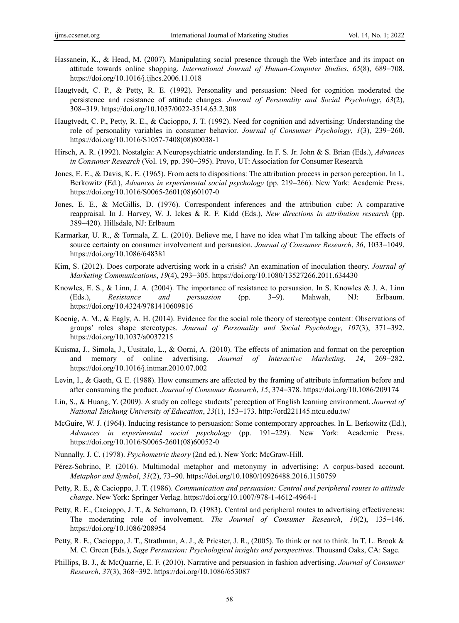- Hassanein, K., & Head, M. (2007). Manipulating social presence through the Web interface and its impact on attitude towards online shopping. *International Journal of Human-Computer Studies*, *65*(8), 689−708. https://doi.org/10.1016/j.ijhcs.2006.11.018
- Haugtvedt, C. P., & Petty, R. E. (1992). Personality and persuasion: Need for cognition moderated the persistence and resistance of attitude changes. *Journal of Personality and Social Psychology*, *63*(2), 308−319. https://doi.org/10.1037/0022-3514.63.2.308
- Haugtvedt, C. P., Petty, R. E., & Cacioppo, J. T. (1992). Need for cognition and advertising: Understanding the role of personality variables in consumer behavior. *Journal of Consumer Psychology*, *1*(3), 239−260. https://doi.org/10.1016/S1057-7408(08)80038-1
- Hirsch, A. R. (1992). Nostalgia: A Neuropsychiatric understanding. In F. S. Jr. John & S. Brian (Eds.), *Advances in Consumer Research* (Vol. 19, pp. 390−395). Provo, UT: Association for Consumer Research
- Jones, E. E., & Davis, K. E. (1965). From acts to dispositions: The attribution process in person perception. In L. Berkowitz (Ed.), *Advances in experimental social psychology* (pp. 219−266). New York: Academic Press. https://doi.org/10.1016/S0065-2601(08)60107-0
- Jones, E. E., & McGillis, D. (1976). Correspondent inferences and the attribution cube: A comparative reappraisal. In J. Harvey, W. J. Ickes & R. F. Kidd (Eds.), *New directions in attribution research* (pp. 389−420). Hillsdale, NJ: Erlbaum
- Karmarkar, U. R., & Tormala, Z. L. (2010). Believe me, I have no idea what I'm talking about: The effects of source certainty on consumer involvement and persuasion. *Journal of Consumer Research*, *36*, 1033−1049. https://doi.org/10.1086/648381
- Kim, S. (2012). Does corporate advertising work in a crisis? An examination of inoculation theory. *Journal of Marketing Communications*, *19*(4), 293−305. https://doi.org/10.1080/13527266.2011.634430
- Knowles, E. S., & Linn, J. A. (2004). The importance of resistance to persuasion. In S. Knowles & J. A. Linn (Eds.), *Resistance and persuasion* (pp. 3−9). Mahwah, NJ: Erlbaum. https://doi.org/10.4324/9781410609816
- Koenig, A. M., & Eagly, A. H. (2014). Evidence for the social role theory of stereotype content: Observations of groups' roles shape stereotypes. *Journal of Personality and Social Psychology*, *107*(3), 371−392. https://doi.org/10.1037/a0037215
- Kuisma, J., Simola, J., Uusitalo, L., & Oorni, A. (2010). The effects of animation and format on the perception and memory of online advertising. *Journal of Interactive Marketing*, *24*, 269−282. https://doi.org/10.1016/j.intmar.2010.07.002
- Levin, I., & Gaeth, G. E. (1988). How consumers are affected by the framing of attribute information before and after consuming the product. *Journal of Consumer Research*, *15*, 374−378. https://doi.org/10.1086/209174
- Lin, S., & Huang, Y. (2009). A study on college students' perception of English learning environment. *Journal of National Taichung University of Education*, *23*(1), 153−173. http://ord221145.ntcu.edu.tw/
- McGuire, W. J. (1964). Inducing resistance to persuasion: Some contemporary approaches. In L. Berkowitz (Ed.), *Advances in experimental social psychology* (pp. 191−229). New York: Academic Press. https://doi.org/10.1016/S0065-2601(08)60052-0
- Nunnally, J. C. (1978). *Psychometric theory* (2nd ed.). New York: McGraw-Hill.
- Pérez-Sobrino, P. (2016). Multimodal metaphor and metonymy in advertising: A corpus-based account. *Metaphor and Symbol*, *31*(2), 73−90. https://doi.org/10.1080/10926488.2016.1150759
- Petty, R. E., & Cacioppo, J. T. (1986). *Communication and persuasion: Central and peripheral routes to attitude change*. New York: Springer Verlag. https://doi.org/10.1007/978-1-4612-4964-1
- Petty, R. E., Cacioppo, J. T., & Schumann, D. (1983). Central and peripheral routes to advertising effectiveness: The moderating role of involvement. *The Journal of Consumer Research*, *10*(2), 135−146. https://doi.org/10.1086/208954
- Petty, R. E., Cacioppo, J. T., Strathman, A. J., & Priester, J. R., (2005). To think or not to think. In T. L. Brook & M. C. Green (Eds.), *Sage Persuasion: Psychological insights and perspectives*. Thousand Oaks, CA: Sage.
- Phillips, B. J., & McQuarrie, E. F. (2010). Narrative and persuasion in fashion advertising. *Journal of Consumer Research*, *37*(3), 368−392. https://doi.org/10.1086/653087